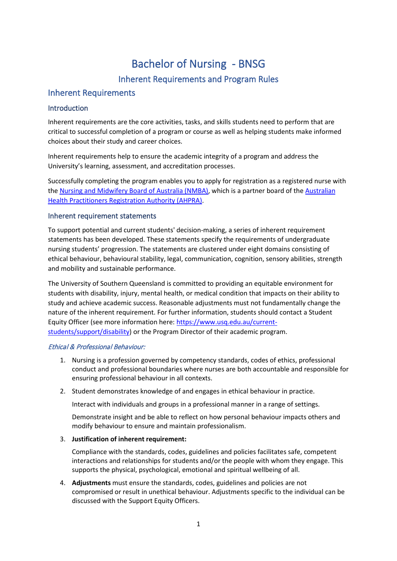# Bachelor of Nursing - BNSG Inherent Requirements and Program Rules

# Inherent Requirements

# Introduction

Inherent requirements are the core activities, tasks, and skills students need to perform that are critical to successful completion of a program or course as well as helping students make informed choices about their study and career choices.

Inherent requirements help to ensure the academic integrity of a program and address the University's learning, assessment, and accreditation processes.

Successfully completing the program enables you to apply for registration as a registered nurse with the [Nursing and Midwifery Board of Australia \(NMBA\),](https://www.nursingmidwiferyboard.gov.au/) which is a partner board of the Australian [Health Practitioners Registration Authority \(AHPRA\).](https://www.ahpra.gov.au/)

# Inherent requirement statements

To support potential and current students' decision-making, a series of inherent requirement statements has been developed. These statements specify the requirements of undergraduate nursing students' progression. The statements are clustered under eight domains consisting of ethical behaviour, behavioural stability, legal, communication, cognition, sensory abilities, strength and mobility and sustainable performance.

The University of Southern Queensland is committed to providing an equitable environment for students with disability, injury, mental health, or medical condition that impacts on their ability to study and achieve academic success. Reasonable adjustments must not fundamentally change the nature of the inherent requirement. For further information, students should contact a Student Equity Officer (see more information here[: https://www.usq.edu.au/current](https://www.usq.edu.au/current-students/support/disability)[students/support/disability\)](https://www.usq.edu.au/current-students/support/disability) or the Program Director of their academic program.

#### Ethical & Professional Behaviour:

- 1. Nursing is a profession governed by competency standards, codes of ethics, professional conduct and professional boundaries where nurses are both accountable and responsible for ensuring professional behaviour in all contexts.
- 2. Student demonstrates knowledge of and engages in ethical behaviour in practice.

Interact with individuals and groups in a professional manner in a range of settings.

Demonstrate insight and be able to reflect on how personal behaviour impacts others and modify behaviour to ensure and maintain professionalism.

# 3. **Justification of inherent requirement:**

Compliance with the standards, codes, guidelines and policies facilitates safe, competent interactions and relationships for students and/or the people with whom they engage. This supports the physical, psychological, emotional and spiritual wellbeing of all.

4. **Adjustments** must ensure the standards, codes, guidelines and policies are not compromised or result in unethical behaviour. Adjustments specific to the individual can be discussed with the Support Equity Officers.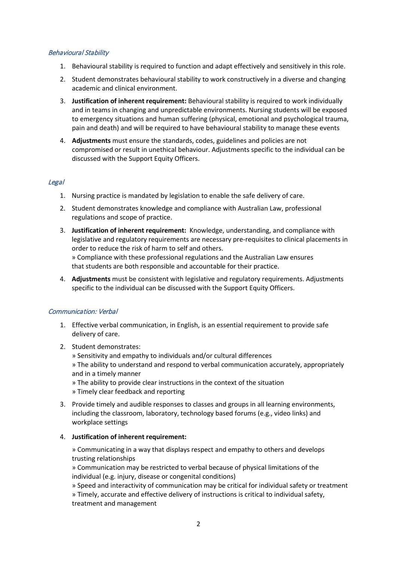#### Behavioural Stability

- 1. Behavioural stability is required to function and adapt effectively and sensitively in this role.
- 2. Student demonstrates behavioural stability to work constructively in a diverse and changing academic and clinical environment.
- 3. **Justification of inherent requirement:** Behavioural stability is required to work individually and in teams in changing and unpredictable environments. Nursing students will be exposed to emergency situations and human suffering (physical, emotional and psychological trauma, pain and death) and will be required to have behavioural stability to manage these events
- 4. **Adjustments** must ensure the standards, codes, guidelines and policies are not compromised or result in unethical behaviour. Adjustments specific to the individual can be discussed with the Support Equity Officers.

# Legal

- 1. Nursing practice is mandated by legislation to enable the safe delivery of care.
- 2. Student demonstrates knowledge and compliance with Australian Law, professional regulations and scope of practice.
- 3. **Justification of inherent requirement:** Knowledge, understanding, and compliance with legislative and regulatory requirements are necessary pre-requisites to clinical placements in order to reduce the risk of harm to self and others. » Compliance with these professional regulations and the Australian Law ensures that students are both responsible and accountable for their practice.
- 4. **Adjustments** must be consistent with legislative and regulatory requirements. Adjustments specific to the individual can be discussed with the Support Equity Officers.

#### Communication: Verbal

- 1. Effective verbal communication, in English, is an essential requirement to provide safe delivery of care.
- 2. Student demonstrates:

» Sensitivity and empathy to individuals and/or cultural differences » The ability to understand and respond to verbal communication accurately, appropriately and in a timely manner

- » The ability to provide clear instructions in the context of the situation
- » Timely clear feedback and reporting
- 3. Provide timely and audible responses to classes and groups in all learning environments, including the classroom, laboratory, technology based forums (e.g., video links) and workplace settings
- 4. **Justification of inherent requirement:**

» Communicating in a way that displays respect and empathy to others and develops trusting relationships

» Communication may be restricted to verbal because of physical limitations of the individual (e.g. injury, disease or congenital conditions)

» Speed and interactivity of communication may be critical for individual safety or treatment » Timely, accurate and effective delivery of instructions is critical to individual safety, treatment and management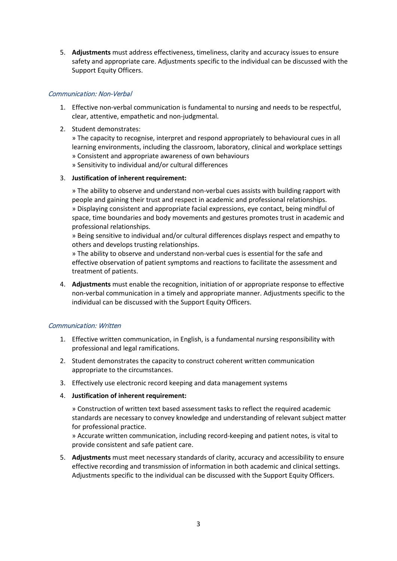5. **Adjustments** must address effectiveness, timeliness, clarity and accuracy issues to ensure safety and appropriate care. Adjustments specific to the individual can be discussed with the Support Equity Officers.

#### Communication: Non-Verbal

- 1. Effective non-verbal communication is fundamental to nursing and needs to be respectful, clear, attentive, empathetic and non-judgmental.
- 2. Student demonstrates:

» The capacity to recognise, interpret and respond appropriately to behavioural cues in all learning environments, including the classroom, laboratory, clinical and workplace settings » Consistent and appropriate awareness of own behaviours » Sensitivity to individual and/or cultural differences

#### 3. **Justification of inherent requirement:**

» The ability to observe and understand non-verbal cues assists with building rapport with people and gaining their trust and respect in academic and professional relationships. » Displaying consistent and appropriate facial expressions, eye contact, being mindful of space, time boundaries and body movements and gestures promotes trust in academic and professional relationships.

» Being sensitive to individual and/or cultural differences displays respect and empathy to others and develops trusting relationships.

» The ability to observe and understand non-verbal cues is essential for the safe and effective observation of patient symptoms and reactions to facilitate the assessment and treatment of patients.

4. **Adjustments** must enable the recognition, initiation of or appropriate response to effective non-verbal communication in a timely and appropriate manner. Adjustments specific to the individual can be discussed with the Support Equity Officers.

# Communication: Written

- 1. Effective written communication, in English, is a fundamental nursing responsibility with professional and legal ramifications.
- 2. Student demonstrates the capacity to construct coherent written communication appropriate to the circumstances.
- 3. Effectively use electronic record keeping and data management systems
- 4. **Justification of inherent requirement:**

» Construction of written text based assessment tasks to reflect the required academic standards are necessary to convey knowledge and understanding of relevant subject matter for professional practice.

» Accurate written communication, including record-keeping and patient notes, is vital to provide consistent and safe patient care.

5. **Adjustments** must meet necessary standards of clarity, accuracy and accessibility to ensure effective recording and transmission of information in both academic and clinical settings. Adjustments specific to the individual can be discussed with the Support Equity Officers.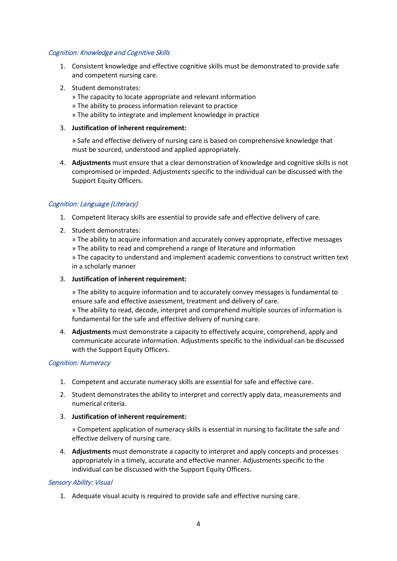#### Cognition: Knowledge and Cognitive Skills

- 1. Consistent knowledge and effective cognitive skills must be demonstrated to provide safe and competent nursing care.
- 2. Student demonstrates:
	- » The capacity to locate appropriate and relevant information
	- » The ability to process information relevant to practice
	- » The ability to integrate and implement knowledge in practice
- 3. **Justification of inherent requirement:**

» Safe and effective delivery of nursing care is based on comprehensive knowledge that must be sourced, understood and applied appropriately.

4. **Adjustments** must ensure that a clear demonstration of knowledge and cognitive skills is not compromised or impeded. Adjustments specific to the individual can be discussed with the Support Equity Officers.

#### Cognition: Language (Literacy)

- 1. Competent literacy skills are essential to provide safe and effective delivery of care.
- 2. Student demonstrates:

» The ability to acquire information and accurately convey appropriate, effective messages » The ability to read and comprehend a range of literature and information » The capacity to understand and implement academic conventions to construct written text

in a scholarly manner

3. **Justification of inherent requirement:**

» The ability to acquire information and to accurately convey messages is fundamental to ensure safe and effective assessment, treatment and delivery of care.

» The ability to read, decode, interpret and comprehend multiple sources of information is fundamental for the safe and effective delivery of nursing care.

4. **Adjustments** must demonstrate a capacity to effectively acquire, comprehend, apply and communicate accurate information. Adjustments specific to the individual can be discussed with the Support Equity Officers.

#### Cognition: Numeracy

- 1. Competent and accurate numeracy skills are essential for safe and effective care.
- 2. Student demonstrates the ability to interpret and correctly apply data, measurements and numerical criteria.
- 3. **Justification of inherent requirement:**

» Competent application of numeracy skills is essential in nursing to facilitate the safe and effective delivery of nursing care.

4. **Adjustments** must demonstrate a capacity to interpret and apply concepts and processes appropriately in a timely, accurate and effective manner. Adjustments specific to the individual can be discussed with the Support Equity Officers.

#### Sensory Ability: Visual

1. Adequate visual acuity is required to provide safe and effective nursing care.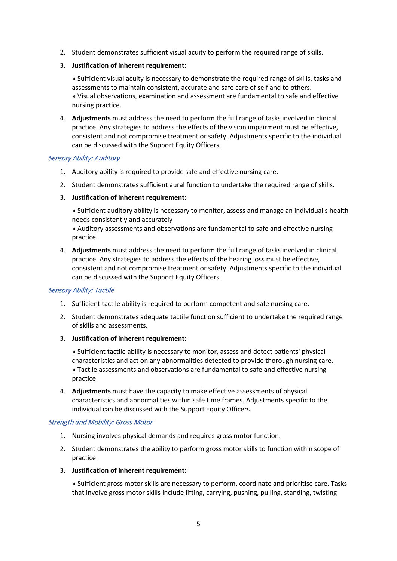2. Student demonstrates sufficient visual acuity to perform the required range of skills.

#### 3. **Justification of inherent requirement:**

» Sufficient visual acuity is necessary to demonstrate the required range of skills, tasks and assessments to maintain consistent, accurate and safe care of self and to others. » Visual observations, examination and assessment are fundamental to safe and effective nursing practice.

4. **Adjustments** must address the need to perform the full range of tasks involved in clinical practice. Any strategies to address the effects of the vision impairment must be effective, consistent and not compromise treatment or safety. Adjustments specific to the individual can be discussed with the Support Equity Officers.

#### Sensory Ability: Auditory

- 1. Auditory ability is required to provide safe and effective nursing care.
- 2. Student demonstrates sufficient aural function to undertake the required range of skills.
- 3. **Justification of inherent requirement:**

» Sufficient auditory ability is necessary to monitor, assess and manage an individual's health needs consistently and accurately

» Auditory assessments and observations are fundamental to safe and effective nursing practice.

4. **Adjustments** must address the need to perform the full range of tasks involved in clinical practice. Any strategies to address the effects of the hearing loss must be effective, consistent and not compromise treatment or safety. Adjustments specific to the individual can be discussed with the Support Equity Officers.

# Sensory Ability: Tactile

- 1. Sufficient tactile ability is required to perform competent and safe nursing care.
- 2. Student demonstrates adequate tactile function sufficient to undertake the required range of skills and assessments.
- 3. **Justification of inherent requirement:**

» Sufficient tactile ability is necessary to monitor, assess and detect patients' physical characteristics and act on any abnormalities detected to provide thorough nursing care. » Tactile assessments and observations are fundamental to safe and effective nursing practice.

4. **Adjustments** must have the capacity to make effective assessments of physical characteristics and abnormalities within safe time frames. Adjustments specific to the individual can be discussed with the Support Equity Officers.

#### Strength and Mobility: Gross Motor

- 1. Nursing involves physical demands and requires gross motor function.
- 2. Student demonstrates the ability to perform gross motor skills to function within scope of practice.
- 3. **Justification of inherent requirement:**

» Sufficient gross motor skills are necessary to perform, coordinate and prioritise care. Tasks that involve gross motor skills include lifting, carrying, pushing, pulling, standing, twisting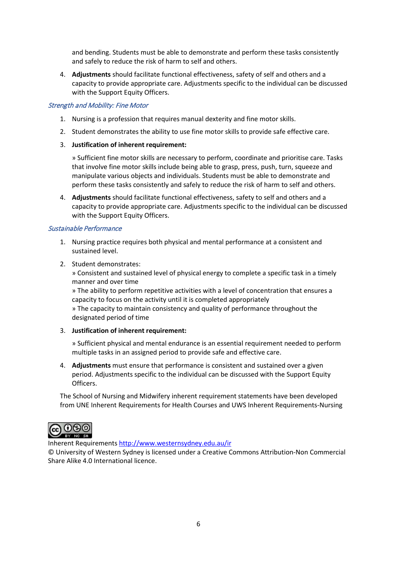and bending. Students must be able to demonstrate and perform these tasks consistently and safely to reduce the risk of harm to self and others.

4. **Adjustments** should facilitate functional effectiveness, safety of self and others and a capacity to provide appropriate care. Adjustments specific to the individual can be discussed with the Support Equity Officers.

#### Strength and Mobility: Fine Motor

- 1. Nursing is a profession that requires manual dexterity and fine motor skills.
- 2. Student demonstrates the ability to use fine motor skills to provide safe effective care.
- 3. **Justification of inherent requirement:**

» Sufficient fine motor skills are necessary to perform, coordinate and prioritise care. Tasks that involve fine motor skills include being able to grasp, press, push, turn, squeeze and manipulate various objects and individuals. Students must be able to demonstrate and perform these tasks consistently and safely to reduce the risk of harm to self and others.

4. **Adjustments** should facilitate functional effectiveness, safety to self and others and a capacity to provide appropriate care. Adjustments specific to the individual can be discussed with the Support Equity Officers.

#### Sustainable Performance

- 1. Nursing practice requires both physical and mental performance at a consistent and sustained level.
- 2. Student demonstrates:

» Consistent and sustained level of physical energy to complete a specific task in a timely manner and over time

» The ability to perform repetitive activities with a level of concentration that ensures a capacity to focus on the activity until it is completed appropriately

» The capacity to maintain consistency and quality of performance throughout the designated period of time

#### 3. **Justification of inherent requirement:**

» Sufficient physical and mental endurance is an essential requirement needed to perform multiple tasks in an assigned period to provide safe and effective care.

4. **Adjustments** must ensure that performance is consistent and sustained over a given period. Adjustments specific to the individual can be discussed with the Support Equity Officers.

The School of Nursing and Midwifery inherent requirement statements have been developed from UNE Inherent Requirements for Health Courses and UWS Inherent Requirements-Nursing



Inherent Requirement[s http://www.westernsydney.edu.au/ir](http://www.uws.edu.au/ir)

© University of Western Sydney is licensed under a Creative Commons Attribution-Non Commercial Share Alike 4.0 International licence.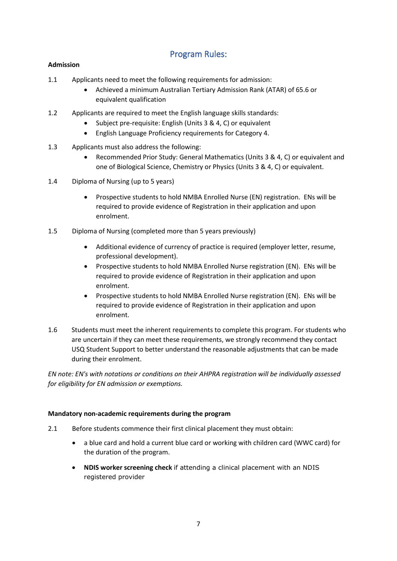# Program Rules:

# **Admission**

- 1.1 Applicants need to meet the following requirements for admission:
	- Achieved a minimum Australian Tertiary Admission Rank (ATAR) of 65.6 or equivalent qualification
- 1.2 Applicants are required to meet the English language skills standards:
	- Subject pre-requisite: English (Units 3 & 4, C) or equivalent
	- English Language Proficiency requirements for Category 4.
- 1.3 Applicants must also address the following:
	- Recommended Prior Study: General Mathematics (Units 3 & 4, C) or equivalent and one of Biological Science, Chemistry or Physics (Units 3 & 4, C) or equivalent.
- 1.4 Diploma of Nursing (up to 5 years)
	- Prospective students to hold NMBA Enrolled Nurse (EN) registration. ENs will be required to provide evidence of Registration in their application and upon enrolment.
- 1.5 Diploma of Nursing (completed more than 5 years previously)
	- Additional evidence of currency of practice is required (employer letter, resume, professional development).
	- Prospective students to hold NMBA Enrolled Nurse registration (EN). ENs will be required to provide evidence of Registration in their application and upon enrolment.
	- Prospective students to hold NMBA Enrolled Nurse registration (EN). ENs will be required to provide evidence of Registration in their application and upon enrolment.
- 1.6 Students must meet the inherent requirements to complete this program. For students who are uncertain if they can meet these requirements, we strongly recommend they contact USQ Student Support to better understand the reasonable adjustments that can be made during their enrolment.

*EN note: EN's with notations or conditions on their AHPRA registration will be individually assessed for eligibility for EN admission or exemptions.*

# **Mandatory non-academic requirements during the program**

- 2.1 Before students commence their first clinical placement they must obtain:
	- a blue card and hold a current blue card or working with children card (WWC card) for the duration of the program.
	- **NDIS worker screening check** if attending a clinical placement with an NDIS registered provider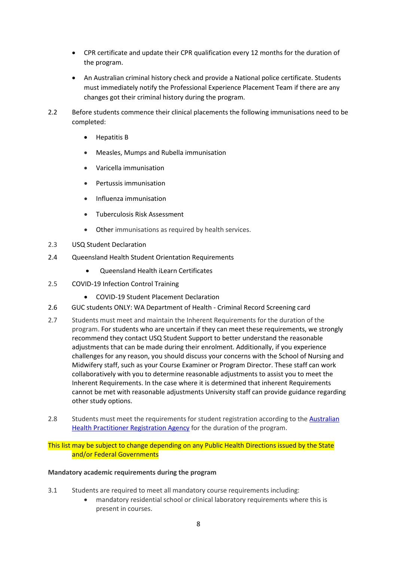- CPR certificate and update their CPR qualification every 12 months for the duration of the program.
- An Australian criminal history check and provide a National police certificate. Students must immediately notify the Professional Experience Placement Team if there are any changes got their criminal history during the program.
- 2.2 Before students commence their clinical placements the following immunisations need to be completed:
	- Hepatitis B
	- Measles, Mumps and Rubella immunisation
	- Varicella immunisation
	- Pertussis immunisation
	- Influenza immunisation
	- Tuberculosis Risk Assessment
	- Other immunisations as required by health services.
- 2.3 USQ Student Declaration
- 2.4 Queensland Health Student Orientation Requirements
	- Queensland Health iLearn Certificates
- 2.5 COVID-19 Infection Control Training
	- COVID-19 Student Placement Declaration
- 2.6 GUC students ONLY: WA Department of Health Criminal Record Screening card
- 2.7 Students must meet and maintain the Inherent Requirements for the duration of the program. For students who are uncertain if they can meet these requirements, we strongly recommend they contact USQ Student Support to better understand the reasonable adjustments that can be made during their enrolment. Additionally, if you experience challenges for any reason, you should discuss your concerns with the School of Nursing and Midwifery staff, such as your Course Examiner or Program Director. These staff can work collaboratively with you to determine reasonable adjustments to assist you to meet the Inherent Requirements. In the case where it is determined that inherent Requirements cannot be met with reasonable adjustments University staff can provide guidance regarding other study options.
- 2.8 Students must meet the requirements for student registration according to the Australian [Health Practitioner Registration Agency](https://www.ahpra.gov.au/Registration/Student-Registrations.aspx) for the duration of the program.

This list may be subject to change depending on any Public Health Directions issued by the State and/or Federal Governments

#### **Mandatory academic requirements during the program**

- 3.1 Students are required to meet all mandatory course requirements including:
	- mandatory residential school or clinical laboratory requirements where this is present in courses.